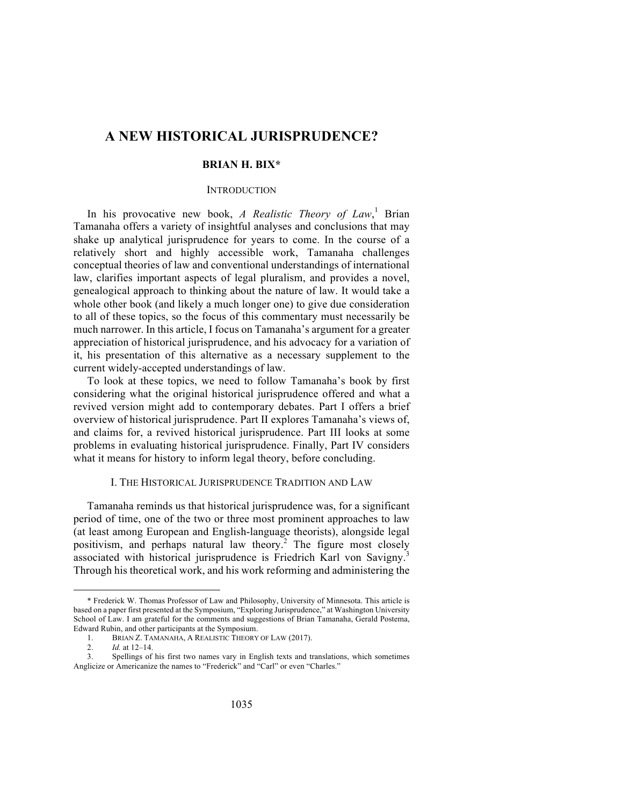# **A NEW HISTORICAL JURISPRUDENCE?**

## **BRIAN H. BIX\***

## INTRODUCTION

In his provocative new book, *A Realistic Theory of Law*, <sup>1</sup> Brian Tamanaha offers a variety of insightful analyses and conclusions that may shake up analytical jurisprudence for years to come. In the course of a relatively short and highly accessible work, Tamanaha challenges conceptual theories of law and conventional understandings of international law, clarifies important aspects of legal pluralism, and provides a novel, genealogical approach to thinking about the nature of law. It would take a whole other book (and likely a much longer one) to give due consideration to all of these topics, so the focus of this commentary must necessarily be much narrower. In this article, I focus on Tamanaha's argument for a greater appreciation of historical jurisprudence, and his advocacy for a variation of it, his presentation of this alternative as a necessary supplement to the current widely-accepted understandings of law.

To look at these topics, we need to follow Tamanaha's book by first considering what the original historical jurisprudence offered and what a revived version might add to contemporary debates. Part I offers a brief overview of historical jurisprudence. Part II explores Tamanaha's views of, and claims for, a revived historical jurisprudence. Part III looks at some problems in evaluating historical jurisprudence. Finally, Part IV considers what it means for history to inform legal theory, before concluding.

## I. THE HISTORICAL JURISPRUDENCE TRADITION AND LAW

Tamanaha reminds us that historical jurisprudence was, for a significant period of time, one of the two or three most prominent approaches to law (at least among European and English-language theorists), alongside legal positivism, and perhaps natural law theory.<sup>2</sup> The figure most closely associated with historical jurisprudence is Friedrich Karl von Savigny.<sup>3</sup> Through his theoretical work, and his work reforming and administering the

<sup>\*</sup> Frederick W. Thomas Professor of Law and Philosophy, University of Minnesota. This article is based on a paper first presented at the Symposium, "Exploring Jurisprudence," at Washington University School of Law. I am grateful for the comments and suggestions of Brian Tamanaha, Gerald Postema, Edward Rubin, and other participants at the Symposium.

<sup>1.</sup> BRIAN Z. TAMANAHA, A REALISTIC THEORY OF LAW (2017).

<sup>2.</sup> *Id.* at 12–14.

<sup>3.</sup> Spellings of his first two names vary in English texts and translations, which sometimes Anglicize or Americanize the names to "Frederick" and "Carl" or even "Charles."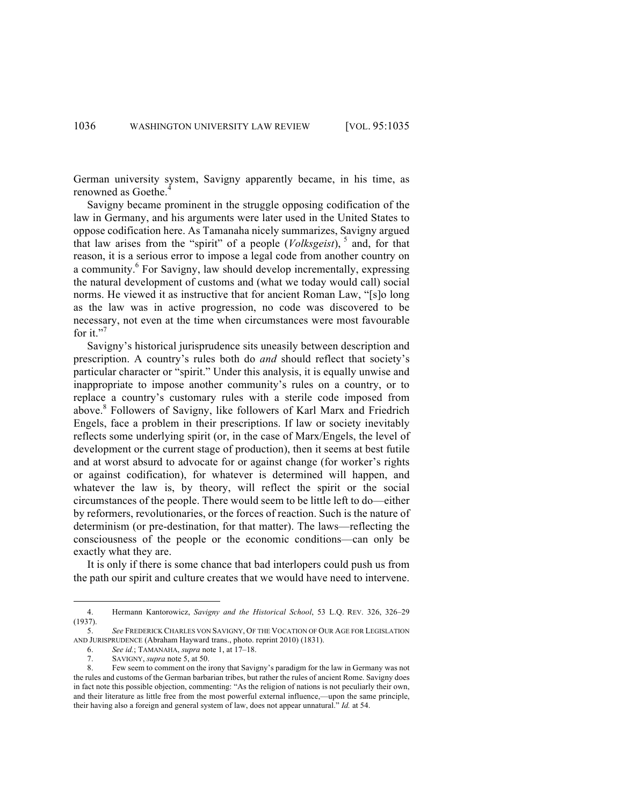German university system, Savigny apparently became, in his time, as renowned as Goethe.<sup>4</sup>

Savigny became prominent in the struggle opposing codification of the law in Germany, and his arguments were later used in the United States to oppose codification here. As Tamanaha nicely summarizes, Savigny argued that law arises from the "spirit" of a people  $(Volkseist)$ ,  $5$  and, for that reason, it is a serious error to impose a legal code from another country on a community.<sup>6</sup> For Savigny, law should develop incrementally, expressing the natural development of customs and (what we today would call) social norms. He viewed it as instructive that for ancient Roman Law, "[s]o long as the law was in active progression, no code was discovered to be necessary, not even at the time when circumstances were most favourable for it."<sup>7</sup>

Savigny's historical jurisprudence sits uneasily between description and prescription. A country's rules both do *and* should reflect that society's particular character or "spirit." Under this analysis, it is equally unwise and inappropriate to impose another community's rules on a country, or to replace a country's customary rules with a sterile code imposed from above.<sup>8</sup> Followers of Savigny, like followers of Karl Marx and Friedrich Engels, face a problem in their prescriptions. If law or society inevitably reflects some underlying spirit (or, in the case of Marx/Engels, the level of development or the current stage of production), then it seems at best futile and at worst absurd to advocate for or against change (for worker's rights or against codification), for whatever is determined will happen, and whatever the law is, by theory, will reflect the spirit or the social circumstances of the people. There would seem to be little left to do—either by reformers, revolutionaries, or the forces of reaction. Such is the nature of determinism (or pre-destination, for that matter). The laws—reflecting the consciousness of the people or the economic conditions—can only be exactly what they are.

It is only if there is some chance that bad interlopers could push us from the path our spirit and culture creates that we would have need to intervene.

<sup>4.</sup> Hermann Kantorowicz, *Savigny and the Historical School*, 53 L.Q. REV. 326, 326–29 (1937).

<sup>5.</sup> *See* FREDERICK CHARLES VON SAVIGNY, OF THE VOCATION OF OUR AGE FOR LEGISLATION AND JURISPRUDENCE (Abraham Hayward trans., photo. reprint 2010) (1831).

<sup>6.</sup> *See id.*; TAMANAHA, *supra* note 1, at 17–18.

<sup>7.</sup> SAVIGNY, *supra* note 5, at 50.

<sup>8.</sup> Few seem to comment on the irony that Savigny's paradigm for the law in Germany was not the rules and customs of the German barbarian tribes, but rather the rules of ancient Rome. Savigny does in fact note this possible objection, commenting: "As the religion of nations is not peculiarly their own, and their literature as little free from the most powerful external influence,—upon the same principle, their having also a foreign and general system of law, does not appear unnatural." *Id.* at 54.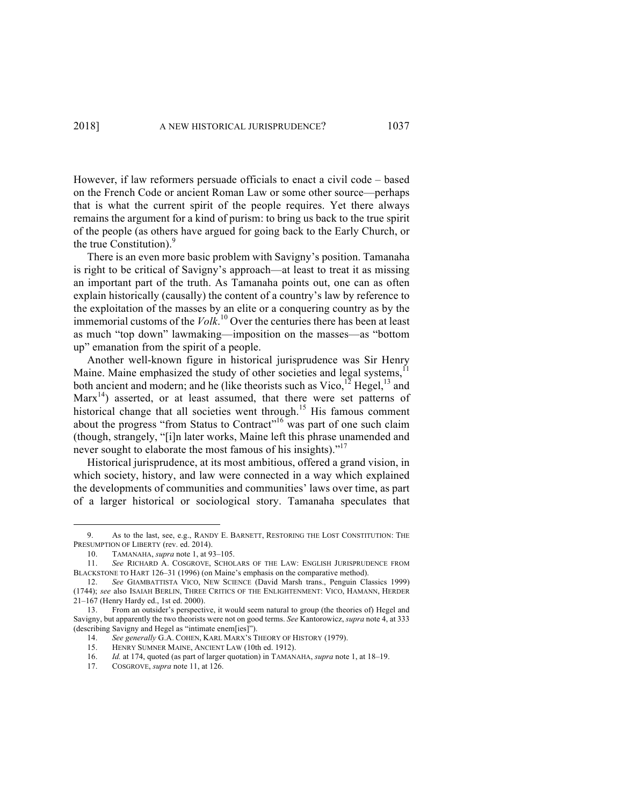However, if law reformers persuade officials to enact a civil code – based on the French Code or ancient Roman Law or some other source—perhaps that is what the current spirit of the people requires. Yet there always remains the argument for a kind of purism: to bring us back to the true spirit of the people (as others have argued for going back to the Early Church, or the true Constitution).<sup>9</sup>

There is an even more basic problem with Savigny's position. Tamanaha is right to be critical of Savigny's approach—at least to treat it as missing an important part of the truth. As Tamanaha points out, one can as often explain historically (causally) the content of a country's law by reference to the exploitation of the masses by an elite or a conquering country as by the immemorial customs of the *Volk*. <sup>10</sup> Over the centuries there has been at least as much "top down" lawmaking—imposition on the masses—as "bottom up" emanation from the spirit of a people.

Another well-known figure in historical jurisprudence was Sir Henry Maine. Maine emphasized the study of other societies and legal systems,<sup>11</sup> both ancient and modern; and he (like theorists such as  $V_{\text{ice}}^{12}$  Hegel,<sup>13</sup> and  $Marx<sup>14</sup>$  asserted, or at least assumed, that there were set patterns of historical change that all societies went through.<sup>15</sup> His famous comment about the progress "from Status to Contract"<sup>16</sup> was part of one such claim (though, strangely, "[i]n later works, Maine left this phrase unamended and never sought to elaborate the most famous of his insights)."<sup>17</sup>

Historical jurisprudence, at its most ambitious, offered a grand vision, in which society, history, and law were connected in a way which explained the developments of communities and communities' laws over time, as part of a larger historical or sociological story. Tamanaha speculates that

<sup>9.</sup> As to the last, see, e.g., RANDY E. BARNETT, RESTORING THE LOST CONSTITUTION: THE PRESUMPTION OF LIBERTY (rev. ed. 2014).

<sup>10.</sup> TAMANAHA, *supra* note 1, at 93–105.

<sup>11.</sup> *See* RICHARD A. COSGROVE, SCHOLARS OF THE LAW: ENGLISH JURISPRUDENCE FROM BLACKSTONE TO HART 126–31 (1996) (on Maine's emphasis on the comparative method).

<sup>12.</sup> *See* GIAMBATTISTA VICO, NEW SCIENCE (David Marsh trans., Penguin Classics 1999) (1744); *see* also ISAIAH BERLIN, THREE CRITICS OF THE ENLIGHTENMENT: VICO, HAMANN, HERDER 21–167 (Henry Hardy ed., 1st ed. 2000).

<sup>13.</sup> From an outsider's perspective, it would seem natural to group (the theories of) Hegel and Savigny, but apparently the two theorists were not on good terms. *See* Kantorowicz, *supra* note 4, at 333 (describing Savigny and Hegel as "intimate enem[ies]").

<sup>14.</sup> *See generally* G.A. COHEN, KARL MARX'S THEORY OF HISTORY (1979).<br>15. HENRY SUMNER MAINE, ANCIENT LAW (10th ed. 1912).

HENRY SUMNER MAINE, ANCIENT LAW (10th ed. 1912).

<sup>16.</sup> *Id.* at 174, quoted (as part of larger quotation) in TAMANAHA, *supra* note 1, at 18–19.<br>17. COSGROVE *supra* note 11 at 126

COSGROVE, *supra* note 11, at 126.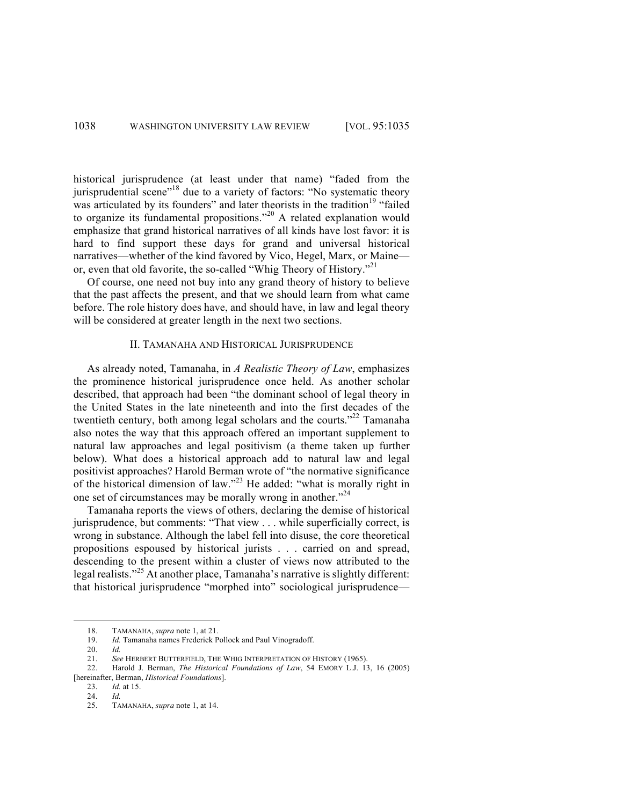historical jurisprudence (at least under that name) "faded from the jurisprudential scene"<sup>18</sup> due to a variety of factors: "No systematic theory was articulated by its founders" and later theorists in the tradition<sup>19</sup> "failed to organize its fundamental propositions."<sup>20</sup> A related explanation would emphasize that grand historical narratives of all kinds have lost favor: it is hard to find support these days for grand and universal historical narratives—whether of the kind favored by Vico, Hegel, Marx, or Maine or, even that old favorite, the so-called "Whig Theory of History."<sup>21</sup>

Of course, one need not buy into any grand theory of history to believe that the past affects the present, and that we should learn from what came before. The role history does have, and should have, in law and legal theory will be considered at greater length in the next two sections.

#### II. TAMANAHA AND HISTORICAL JURISPRUDENCE

As already noted, Tamanaha, in *A Realistic Theory of Law*, emphasizes the prominence historical jurisprudence once held. As another scholar described, that approach had been "the dominant school of legal theory in the United States in the late nineteenth and into the first decades of the twentieth century, both among legal scholars and the courts."<sup>22</sup> Tamanaha also notes the way that this approach offered an important supplement to natural law approaches and legal positivism (a theme taken up further below). What does a historical approach add to natural law and legal positivist approaches? Harold Berman wrote of "the normative significance of the historical dimension of law."<sup>23</sup> He added: "what is morally right in one set of circumstances may be morally wrong in another."<sup>24</sup>

Tamanaha reports the views of others, declaring the demise of historical jurisprudence, but comments: "That view . . . while superficially correct, is wrong in substance. Although the label fell into disuse, the core theoretical propositions espoused by historical jurists . . . carried on and spread, descending to the present within a cluster of views now attributed to the legal realists."<sup>25</sup> At another place, Tamanaha's narrative is slightly different: that historical jurisprudence "morphed into" sociological jurisprudence—

<sup>&</sup>lt;u> Andrew Maria (1989)</u> 18. TAMANAHA, *supra* note 1, at 21.

<sup>19.</sup> *Id.* Tamanaha names Frederick Pollock and Paul Vinogradoff.

<sup>20.</sup> *Id.*

<sup>21.</sup> *See* HERBERT BUTTERFIELD, THE WHIG INTERPRETATION OF HISTORY (1965).

<sup>22.</sup> Harold J. Berman, *The Historical Foundations of Law*, 54 EMORY L.J. 13, 16 (2005) [hereinafter, Berman, *Historical Foundations*].

<sup>23.</sup> *Id.* at 15.

<sup>24.</sup> *Id.* 

<sup>25.</sup> TAMANAHA, *supra* note 1, at 14.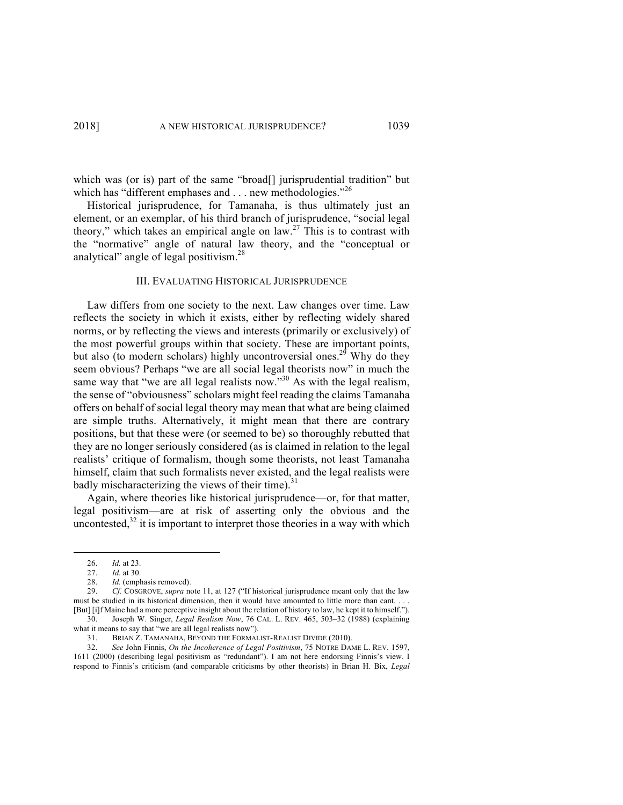which was (or is) part of the same "broad<sup>[]</sup> jurisprudential tradition" but which has "different emphases and . . . new methodologies."<sup>26</sup>

Historical jurisprudence, for Tamanaha, is thus ultimately just an element, or an exemplar, of his third branch of jurisprudence, "social legal theory," which takes an empirical angle on law.<sup>27</sup> This is to contrast with the "normative" angle of natural law theory, and the "conceptual or analytical" angle of legal positivism.<sup>28</sup>

### III. EVALUATING HISTORICAL JURISPRUDENCE

Law differs from one society to the next. Law changes over time. Law reflects the society in which it exists, either by reflecting widely shared norms, or by reflecting the views and interests (primarily or exclusively) of the most powerful groups within that society. These are important points, but also (to modern scholars) highly uncontroversial ones.<sup>29</sup> Why do they seem obvious? Perhaps "we are all social legal theorists now" in much the same way that "we are all legal realists now."<sup>30</sup> As with the legal realism, the sense of "obviousness" scholars might feel reading the claims Tamanaha offers on behalf of social legal theory may mean that what are being claimed are simple truths. Alternatively, it might mean that there are contrary positions, but that these were (or seemed to be) so thoroughly rebutted that they are no longer seriously considered (as is claimed in relation to the legal realists' critique of formalism, though some theorists, not least Tamanaha himself, claim that such formalists never existed, and the legal realists were badly mischaracterizing the views of their time).<sup>31</sup>

Again, where theories like historical jurisprudence—or, for that matter, legal positivism—are at risk of asserting only the obvious and the uncontested, $32$  it is important to interpret those theories in a way with which

 

<sup>26.</sup> *Id.* at 23.

<sup>27.</sup> *Id.* at 30.

<sup>28.</sup> *Id.* (emphasis removed).<br>29. *Cf.* COSGROVE. *supra* n

<sup>29.</sup> *Cf.* COSGROVE, *supra* note 11, at 127 ("If historical jurisprudence meant only that the law must be studied in its historical dimension, then it would have amounted to little more than cant. . [But] [i]f Maine had a more perceptive insight about the relation of history to law, he kept it to himself.").

<sup>30.</sup> Joseph W. Singer, *Legal Realism Now*, 76 CAL. L. REV. 465, 503–32 (1988) (explaining what it means to say that "we are all legal realists now").

<sup>31.</sup> BRIAN Z. TAMANAHA, BEYOND THE FORMALIST-REALIST DIVIDE (2010).

<sup>32.</sup> *See* John Finnis, *On the Incoherence of Legal Positivism*, 75 NOTRE DAME L. REV. 1597, 1611 (2000) (describing legal positivism as "redundant"). I am not here endorsing Finnis's view. I respond to Finnis's criticism (and comparable criticisms by other theorists) in Brian H. Bix, *Legal*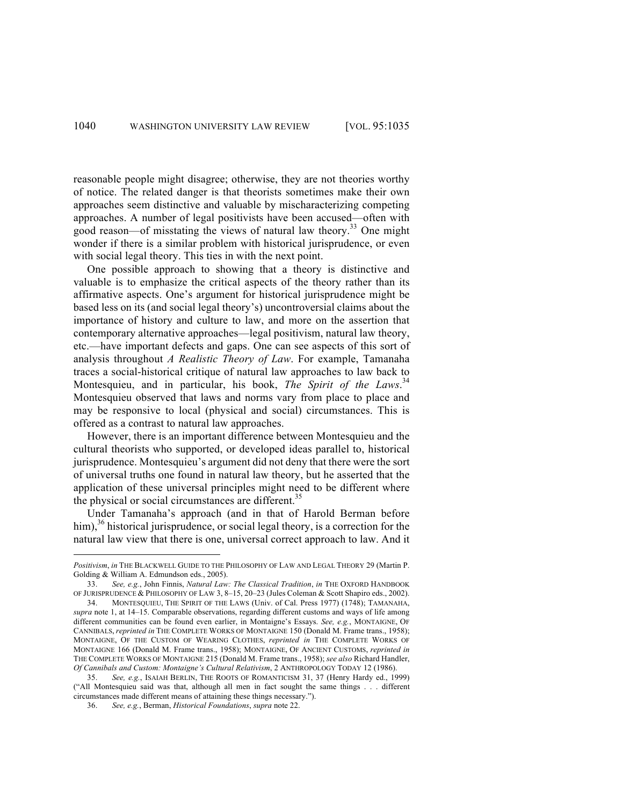reasonable people might disagree; otherwise, they are not theories worthy of notice. The related danger is that theorists sometimes make their own approaches seem distinctive and valuable by mischaracterizing competing approaches. A number of legal positivists have been accused—often with good reason—of misstating the views of natural law theory.33 One might wonder if there is a similar problem with historical jurisprudence, or even with social legal theory. This ties in with the next point.

One possible approach to showing that a theory is distinctive and valuable is to emphasize the critical aspects of the theory rather than its affirmative aspects. One's argument for historical jurisprudence might be based less on its (and social legal theory's) uncontroversial claims about the importance of history and culture to law, and more on the assertion that contemporary alternative approaches—legal positivism, natural law theory, etc.—have important defects and gaps. One can see aspects of this sort of analysis throughout *A Realistic Theory of Law*. For example, Tamanaha traces a social-historical critique of natural law approaches to law back to Montesquieu, and in particular, his book, *The Spirit of the Laws*. 34 Montesquieu observed that laws and norms vary from place to place and may be responsive to local (physical and social) circumstances. This is offered as a contrast to natural law approaches.

However, there is an important difference between Montesquieu and the cultural theorists who supported, or developed ideas parallel to, historical jurisprudence. Montesquieu's argument did not deny that there were the sort of universal truths one found in natural law theory, but he asserted that the application of these universal principles might need to be different where the physical or social circumstances are different.<sup>35</sup>

Under Tamanaha's approach (and in that of Harold Berman before him),  $36$  historical jurisprudence, or social legal theory, is a correction for the natural law view that there is one, universal correct approach to law. And it

*Positivism*, *in* THE BLACKWELL GUIDE TO THE PHILOSOPHY OF LAW AND LEGAL THEORY 29 (Martin P. Golding & William A. Edmundson eds., 2005).

<sup>33.</sup> *See, e.g.*, John Finnis, *Natural Law: The Classical Tradition*, *in* THE OXFORD HANDBOOK OF JURISPRUDENCE & PHILOSOPHY OF LAW 3, 8–15, 20–23 (Jules Coleman & Scott Shapiro eds., 2002).

<sup>34.</sup> MONTESQUIEU, THE SPIRIT OF THE LAWS (Univ. of Cal. Press 1977) (1748); TAMANAHA, *supra* note 1, at 14–15. Comparable observations, regarding different customs and ways of life among different communities can be found even earlier, in Montaigne's Essays. *See, e.g.*, MONTAIGNE, OF CANNIBALS, *reprinted in* THE COMPLETE WORKS OF MONTAIGNE 150 (Donald M. Frame trans., 1958); MONTAIGNE, OF THE CUSTOM OF WEARING CLOTHES, *reprinted in* THE COMPLETE WORKS OF MONTAIGNE 166 (Donald M. Frame trans., 1958); MONTAIGNE, OF ANCIENT CUSTOMS, *reprinted in*  THE COMPLETE WORKS OF MONTAIGNE 215 (Donald M. Frame trans., 1958); *see also* Richard Handler, *Of Cannibals and Custom: Montaigne's Cultural Relativism*, 2 ANTHROPOLOGY TODAY 12 (1986).

<sup>35.</sup> *See, e.g.*, ISAIAH BERLIN, THE ROOTS OF ROMANTICISM 31, 37 (Henry Hardy ed., 1999) ("All Montesquieu said was that, although all men in fact sought the same things . . . different circumstances made different means of attaining these things necessary.").

<sup>36.</sup> *See, e.g.*, Berman, *Historical Foundations*, *supra* note 22.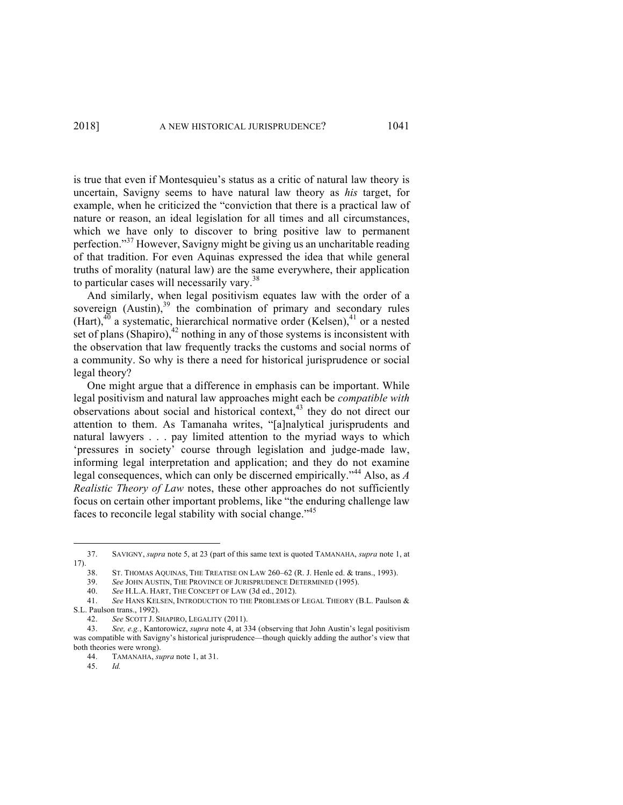is true that even if Montesquieu's status as a critic of natural law theory is uncertain, Savigny seems to have natural law theory as *his* target, for example, when he criticized the "conviction that there is a practical law of nature or reason, an ideal legislation for all times and all circumstances, which we have only to discover to bring positive law to permanent perfection." <sup>37</sup> However, Savigny might be giving us an uncharitable reading of that tradition. For even Aquinas expressed the idea that while general truths of morality (natural law) are the same everywhere, their application to particular cases will necessarily vary.<sup>38</sup>

And similarly, when legal positivism equates law with the order of a sovereign (Austin),<sup>39</sup> the combination of primary and secondary rules (Hart), $40$  a systematic, hierarchical normative order (Kelsen), $41$  or a nested set of plans (Shapiro), $^{42}$  nothing in any of those systems is inconsistent with the observation that law frequently tracks the customs and social norms of a community. So why is there a need for historical jurisprudence or social legal theory?

One might argue that a difference in emphasis can be important. While legal positivism and natural law approaches might each be *compatible with*  observations about social and historical context,<sup>43</sup> they do not direct our attention to them. As Tamanaha writes, "[a]nalytical jurisprudents and natural lawyers . . . pay limited attention to the myriad ways to which 'pressures in society' course through legislation and judge-made law, informing legal interpretation and application; and they do not examine legal consequences, which can only be discerned empirically."<sup>44</sup> Also, as *A Realistic Theory of Law* notes, these other approaches do not sufficiently focus on certain other important problems, like "the enduring challenge law faces to reconcile legal stability with social change."<sup>45</sup>

<sup>37.</sup> SAVIGNY, *supra* note 5, at 23 (part of this same text is quoted TAMANAHA, *supra* note 1, at 17).

<sup>38.</sup> ST. THOMAS AQUINAS, THE TREATISE ON LAW 260–62 (R. J. Henle ed. & trans., 1993).

<sup>39.</sup> *See* JOHN AUSTIN, THE PROVINCE OF JURISPRUDENCE DETERMINED (1995).

See H.L.A. HART, THE CONCEPT OF LAW (3d ed., 2012).

<sup>41.</sup> *See* HANS KELSEN, INTRODUCTION TO THE PROBLEMS OF LEGAL THEORY (B.L. Paulson & S.L. Paulson trans., 1992).

<sup>42.</sup> *See* SCOTT J. SHAPIRO, LEGALITY (2011).

<sup>43.</sup> *See, e.g.*, Kantorowicz, *supra* note 4, at 334 (observing that John Austin's legal positivism was compatible with Savigny's historical jurisprudence—though quickly adding the author's view that both theories were wrong).

<sup>44.</sup> TAMANAHA, *supra* note 1, at 31.

<sup>45.</sup> *Id.*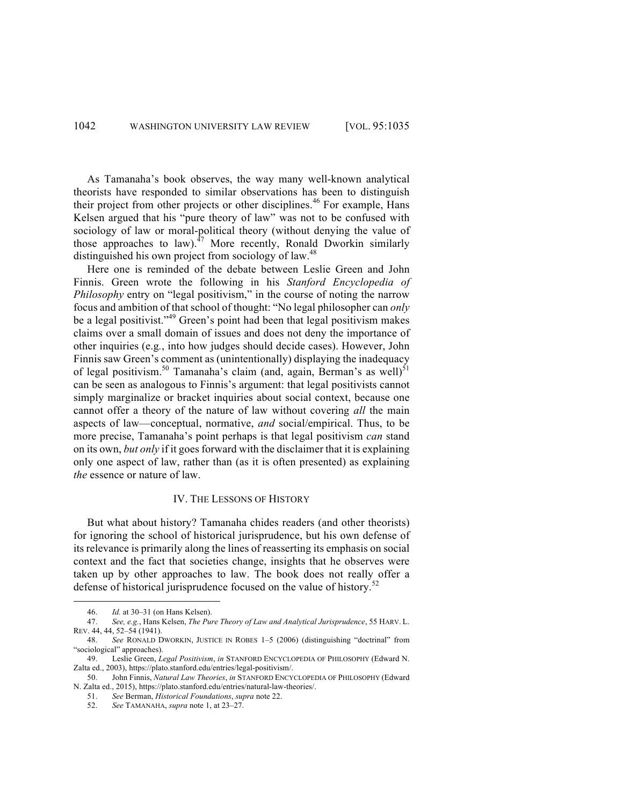## 1042 WASHINGTON UNIVERSITY LAW REVIEW [VOL. 95:1035

As Tamanaha's book observes, the way many well-known analytical theorists have responded to similar observations has been to distinguish their project from other projects or other disciplines.<sup>46</sup> For example, Hans Kelsen argued that his "pure theory of law" was not to be confused with sociology of law or moral-political theory (without denying the value of those approaches to law). $^{47}$  More recently, Ronald Dworkin similarly distinguished his own project from sociology of law.<sup>48</sup>

Here one is reminded of the debate between Leslie Green and John Finnis. Green wrote the following in his *Stanford Encyclopedia of Philosophy* entry on "legal positivism," in the course of noting the narrow focus and ambition of that school of thought: "No legal philosopher can *only*  be a legal positivist."<sup>49</sup> Green's point had been that legal positivism makes claims over a small domain of issues and does not deny the importance of other inquiries (e.g*.*, into how judges should decide cases). However, John Finnis saw Green's comment as (unintentionally) displaying the inadequacy of legal positivism.<sup>50</sup> Tamanaha's claim (and, again, Berman's as well)<sup>51</sup> can be seen as analogous to Finnis's argument: that legal positivists cannot simply marginalize or bracket inquiries about social context, because one cannot offer a theory of the nature of law without covering *all* the main aspects of law—conceptual, normative, *and* social/empirical. Thus, to be more precise, Tamanaha's point perhaps is that legal positivism *can* stand on its own, *but only* if it goes forward with the disclaimer that it is explaining only one aspect of law, rather than (as it is often presented) as explaining *the* essence or nature of law.

#### IV. THE LESSONS OF HISTORY

But what about history? Tamanaha chides readers (and other theorists) for ignoring the school of historical jurisprudence, but his own defense of its relevance is primarily along the lines of reasserting its emphasis on social context and the fact that societies change, insights that he observes were taken up by other approaches to law. The book does not really offer a defense of historical jurisprudence focused on the value of history.<sup>52</sup>

<sup>&</sup>lt;u> Andrew Maria (1989)</u> 46. *Id.* at 30–31 (on Hans Kelsen).

<sup>47.</sup> *See, e.g.*, Hans Kelsen, *The Pure Theory of Law and Analytical Jurisprudence*, 55 HARV. L. REV. 44, 44, 52–54 (1941).

<sup>48.</sup> *See* RONALD DWORKIN, JUSTICE IN ROBES 1–5 (2006) (distinguishing "doctrinal" from "sociological" approaches).

<sup>49.</sup> Leslie Green, *Legal Positivism*, *in* STANFORD ENCYCLOPEDIA OF PHILOSOPHY (Edward N. Zalta ed., 2003), https://plato.stanford.edu/entries/legal-positivism/.

<sup>50.</sup> John Finnis, *Natural Law Theories*, *in* STANFORD ENCYCLOPEDIA OF PHILOSOPHY (Edward N. Zalta ed., 2015), https://plato.stanford.edu/entries/natural-law-theories/.

<sup>51.</sup> *See* Berman, *Historical Foundations*, *supra* note 22.

<sup>52.</sup> *See* TAMANAHA, *supra* note 1, at 23–27.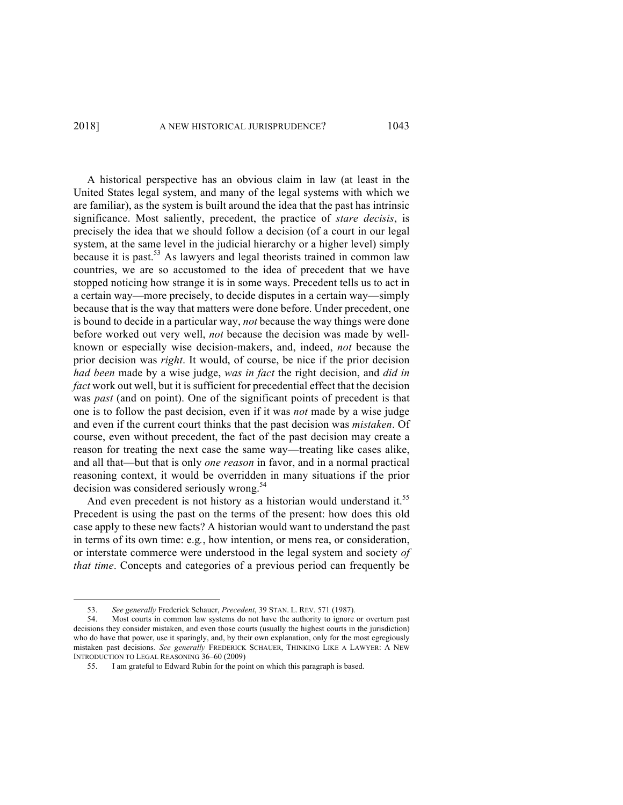### 2018] A NEW HISTORICAL JURISPRUDENCE? 1043

A historical perspective has an obvious claim in law (at least in the United States legal system, and many of the legal systems with which we are familiar), as the system is built around the idea that the past has intrinsic significance. Most saliently, precedent, the practice of *stare decisis*, is precisely the idea that we should follow a decision (of a court in our legal system, at the same level in the judicial hierarchy or a higher level) simply because it is past.<sup>53</sup> As lawyers and legal theorists trained in common law countries, we are so accustomed to the idea of precedent that we have stopped noticing how strange it is in some ways. Precedent tells us to act in a certain way—more precisely, to decide disputes in a certain way—simply because that is the way that matters were done before. Under precedent, one is bound to decide in a particular way, *not* because the way things were done before worked out very well, *not* because the decision was made by wellknown or especially wise decision-makers, and, indeed, *not* because the prior decision was *right*. It would, of course, be nice if the prior decision *had been* made by a wise judge, *was in fact* the right decision, and *did in fact* work out well, but it is sufficient for precedential effect that the decision was *past* (and on point). One of the significant points of precedent is that one is to follow the past decision, even if it was *not* made by a wise judge and even if the current court thinks that the past decision was *mistaken*. Of course, even without precedent, the fact of the past decision may create a reason for treating the next case the same way—treating like cases alike, and all that—but that is only *one reason* in favor, and in a normal practical reasoning context, it would be overridden in many situations if the prior decision was considered seriously wrong.<sup>54</sup>

And even precedent is not history as a historian would understand it.<sup>55</sup> Precedent is using the past on the terms of the present: how does this old case apply to these new facts? A historian would want to understand the past in terms of its own time: e.g*.*, how intention, or mens rea, or consideration, or interstate commerce were understood in the legal system and society *of that time*. Concepts and categories of a previous period can frequently be

<sup>53.</sup> *See generally* Frederick Schauer, *Precedent*, 39 STAN. L. REV. 571 (1987).

<sup>54.</sup> Most courts in common law systems do not have the authority to ignore or overturn past decisions they consider mistaken, and even those courts (usually the highest courts in the jurisdiction) who do have that power, use it sparingly, and, by their own explanation, only for the most egregiously mistaken past decisions. *See generally* FREDERICK SCHAUER, THINKING LIKE A LAWYER: A NEW INTRODUCTION TO LEGAL REASONING 36–60 (2009)

<sup>55.</sup> I am grateful to Edward Rubin for the point on which this paragraph is based.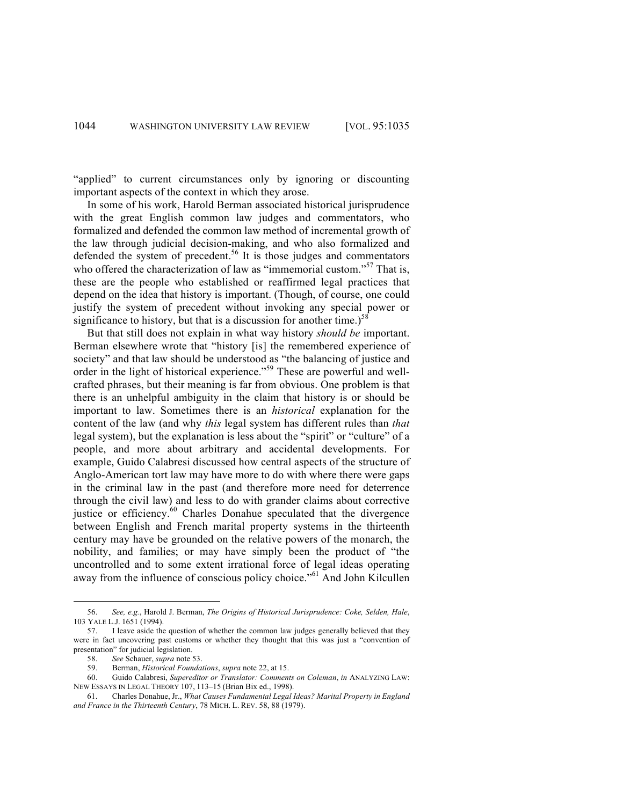"applied" to current circumstances only by ignoring or discounting important aspects of the context in which they arose.

In some of his work, Harold Berman associated historical jurisprudence with the great English common law judges and commentators, who formalized and defended the common law method of incremental growth of the law through judicial decision-making, and who also formalized and defended the system of precedent.<sup>56</sup> It is those judges and commentators who offered the characterization of law as "immemorial custom."<sup>57</sup> That is, these are the people who established or reaffirmed legal practices that depend on the idea that history is important. (Though, of course, one could justify the system of precedent without invoking any special power or significance to history, but that is a discussion for another time.)<sup>58</sup>

But that still does not explain in what way history *should be* important. Berman elsewhere wrote that "history [is] the remembered experience of society" and that law should be understood as "the balancing of justice and order in the light of historical experience.<sup>"59</sup> These are powerful and wellcrafted phrases, but their meaning is far from obvious. One problem is that there is an unhelpful ambiguity in the claim that history is or should be important to law. Sometimes there is an *historical* explanation for the content of the law (and why *this* legal system has different rules than *that*  legal system), but the explanation is less about the "spirit" or "culture" of a people, and more about arbitrary and accidental developments. For example, Guido Calabresi discussed how central aspects of the structure of Anglo-American tort law may have more to do with where there were gaps in the criminal law in the past (and therefore more need for deterrence through the civil law) and less to do with grander claims about corrective justice or efficiency.<sup>60</sup> Charles Donahue speculated that the divergence between English and French marital property systems in the thirteenth century may have be grounded on the relative powers of the monarch, the nobility, and families; or may have simply been the product of "the uncontrolled and to some extent irrational force of legal ideas operating away from the influence of conscious policy choice."<sup>61</sup> And John Kilcullen

<sup>56.</sup> *See, e.g.*, Harold J. Berman, *The Origins of Historical Jurisprudence: Coke, Selden, Hale*, 103 YALE L.J. 1651 (1994).

<sup>57.</sup> I leave aside the question of whether the common law judges generally believed that they were in fact uncovering past customs or whether they thought that this was just a "convention of presentation" for judicial legislation.

<sup>58.</sup> *See* Schauer, *supra* note 53.

<sup>59.</sup> Berman, *Historical Foundations*, *supra* note 22, at 15.

<sup>60.</sup> Guido Calabresi, *Supereditor or Translator: Comments on Coleman*, *in* ANALYZING LAW: NEW ESSAYS IN LEGAL THEORY 107, 113–15 (Brian Bix ed., 1998).

<sup>61.</sup> Charles Donahue, Jr., *What Causes Fundamental Legal Ideas? Marital Property in England and France in the Thirteenth Century*, 78 MICH. L. REV. 58, 88 (1979).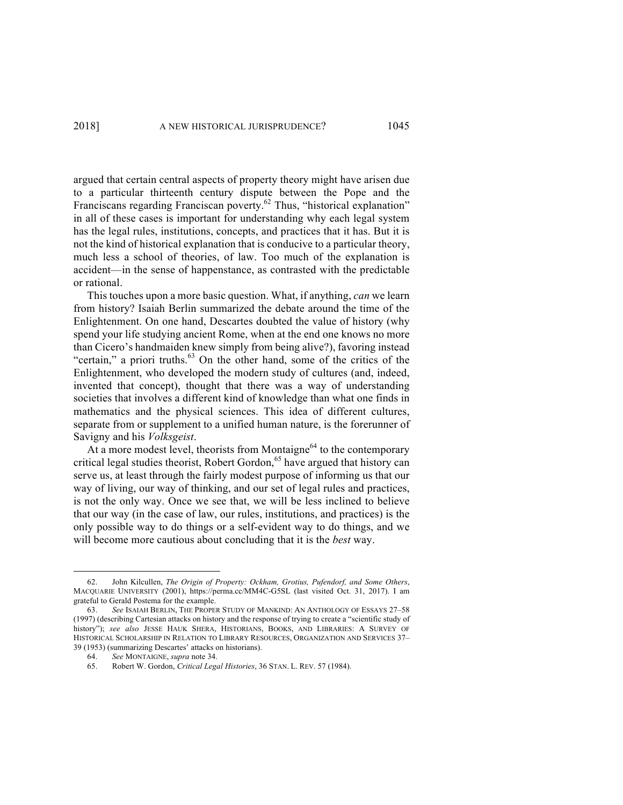argued that certain central aspects of property theory might have arisen due to a particular thirteenth century dispute between the Pope and the Franciscans regarding Franciscan poverty.<sup>62</sup> Thus, "historical explanation" in all of these cases is important for understanding why each legal system has the legal rules, institutions, concepts, and practices that it has. But it is not the kind of historical explanation that is conducive to a particular theory, much less a school of theories, of law. Too much of the explanation is accident—in the sense of happenstance, as contrasted with the predictable or rational.

This touches upon a more basic question. What, if anything, *can* we learn from history? Isaiah Berlin summarized the debate around the time of the Enlightenment. On one hand, Descartes doubted the value of history (why spend your life studying ancient Rome, when at the end one knows no more than Cicero's handmaiden knew simply from being alive?), favoring instead "certain," a priori truths.<sup>63</sup> On the other hand, some of the critics of the Enlightenment, who developed the modern study of cultures (and, indeed, invented that concept), thought that there was a way of understanding societies that involves a different kind of knowledge than what one finds in mathematics and the physical sciences. This idea of different cultures, separate from or supplement to a unified human nature, is the forerunner of Savigny and his *Volksgeist*.

At a more modest level, theorists from Montaigne<sup>64</sup> to the contemporary critical legal studies theorist, Robert Gordon,<sup>65</sup> have argued that history can serve us, at least through the fairly modest purpose of informing us that our way of living, our way of thinking, and our set of legal rules and practices, is not the only way. Once we see that, we will be less inclined to believe that our way (in the case of law, our rules, institutions, and practices) is the only possible way to do things or a self-evident way to do things, and we will become more cautious about concluding that it is the *best* way.

<sup>62.</sup> John Kilcullen, *The Origin of Property: Ockham, Grotius, Pufendorf, and Some Others*, MACQUARIE UNIVERSITY (2001), https://perma.cc/MM4C-G5SL (last visited Oct. 31, 2017). I am grateful to Gerald Postema for the example.

<sup>63.</sup> *See* ISAIAH BERLIN, THE PROPER STUDY OF MANKIND: AN ANTHOLOGY OF ESSAYS 27–58 (1997) (describing Cartesian attacks on history and the response of trying to create a "scientific study of history"); *see also* JESSE HAUK SHERA, HISTORIANS, BOOKS, AND LIBRARIES: A SURVEY OF HISTORICAL SCHOLARSHIP IN RELATION TO LIBRARY RESOURCES, ORGANIZATION AND SERVICES 37– 39 (1953) (summarizing Descartes' attacks on historians).

<sup>64.</sup> *See* MONTAIGNE, *supra* note 34. 65. Robert W. Gordon, *Critical Legal Histories*, 36 STAN. L. REV. 57 (1984).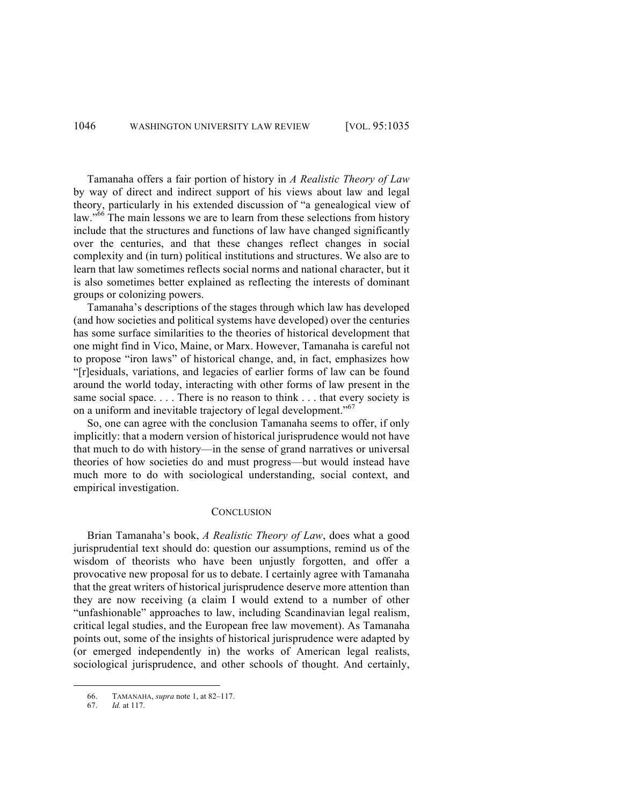## 1046 WASHINGTON UNIVERSITY LAW REVIEW [VOL. 95:1035

Tamanaha offers a fair portion of history in *A Realistic Theory of Law* by way of direct and indirect support of his views about law and legal theory, particularly in his extended discussion of "a genealogical view of law."<sup>66</sup> The main lessons we are to learn from these selections from history include that the structures and functions of law have changed significantly over the centuries, and that these changes reflect changes in social complexity and (in turn) political institutions and structures. We also are to learn that law sometimes reflects social norms and national character, but it is also sometimes better explained as reflecting the interests of dominant groups or colonizing powers.

Tamanaha's descriptions of the stages through which law has developed (and how societies and political systems have developed) over the centuries has some surface similarities to the theories of historical development that one might find in Vico, Maine, or Marx. However, Tamanaha is careful not to propose "iron laws" of historical change, and, in fact, emphasizes how "[r]esiduals, variations, and legacies of earlier forms of law can be found around the world today, interacting with other forms of law present in the same social space. . . . There is no reason to think . . . that every society is on a uniform and inevitable trajectory of legal development."<sup>67</sup>

So, one can agree with the conclusion Tamanaha seems to offer, if only implicitly: that a modern version of historical jurisprudence would not have that much to do with history—in the sense of grand narratives or universal theories of how societies do and must progress—but would instead have much more to do with sociological understanding, social context, and empirical investigation.

#### **CONCLUSION**

Brian Tamanaha's book, *A Realistic Theory of Law*, does what a good jurisprudential text should do: question our assumptions, remind us of the wisdom of theorists who have been unjustly forgotten, and offer a provocative new proposal for us to debate. I certainly agree with Tamanaha that the great writers of historical jurisprudence deserve more attention than they are now receiving (a claim I would extend to a number of other "unfashionable" approaches to law, including Scandinavian legal realism, critical legal studies, and the European free law movement). As Tamanaha points out, some of the insights of historical jurisprudence were adapted by (or emerged independently in) the works of American legal realists, sociological jurisprudence, and other schools of thought. And certainly,

<sup>66.</sup> TAMANAHA, *supra* note 1, at 82–117.

<sup>67.</sup> *Id.* at 117.